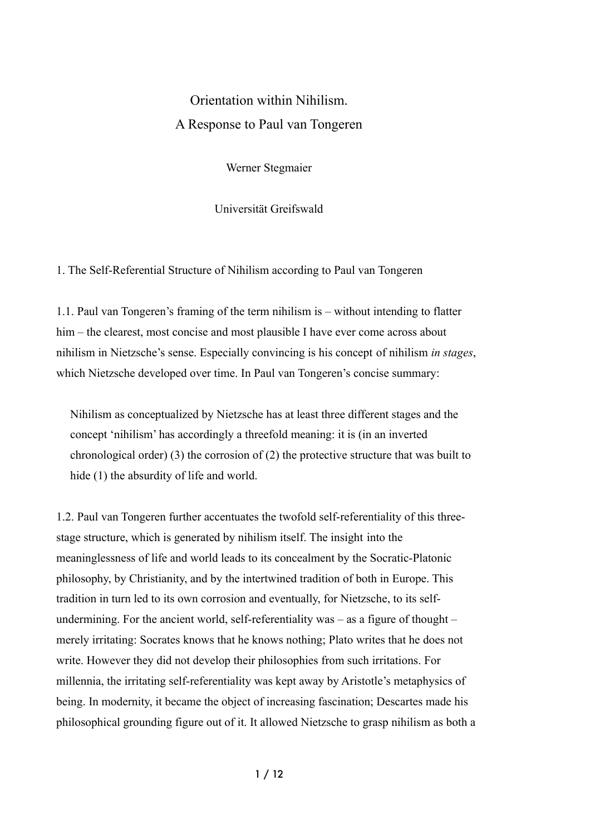# Orientation within Nihilism. A Response to Paul van Tongeren

Werner Stegmaier

Universität Greifswald

1. The Self-Referential Structure of Nihilism according to Paul van Tongeren

1.1. Paul van Tongeren's framing of the term nihilism is – without intending to flatter him – the clearest, most concise and most plausible I have ever come across about nihilism in Nietzsche's sense. Especially convincing is his concept of nihilism *in stages*, which Nietzsche developed over time. In Paul van Tongeren's concise summary:

Nihilism as conceptualized by Nietzsche has at least three different stages and the concept 'nihilism' has accordingly a threefold meaning: it is (in an inverted chronological order) (3) the corrosion of (2) the protective structure that was built to hide (1) the absurdity of life and world.

1.2. Paul van Tongeren further accentuates the twofold self-referentiality of this threestage structure, which is generated by nihilism itself. The insight into the meaninglessness of life and world leads to its concealment by the Socratic-Platonic philosophy, by Christianity, and by the intertwined tradition of both in Europe. This tradition in turn led to its own corrosion and eventually, for Nietzsche, to its selfundermining. For the ancient world, self-referentiality was  $-$  as a figure of thought  $$ merely irritating: Socrates knows that he knows nothing; Plato writes that he does not write. However they did not develop their philosophies from such irritations. For millennia, the irritating self-referentiality was kept away by Aristotle's metaphysics of being. In modernity, it became the object of increasing fascination; Descartes made his philosophical grounding figure out of it. It allowed Nietzsche to grasp nihilism as both a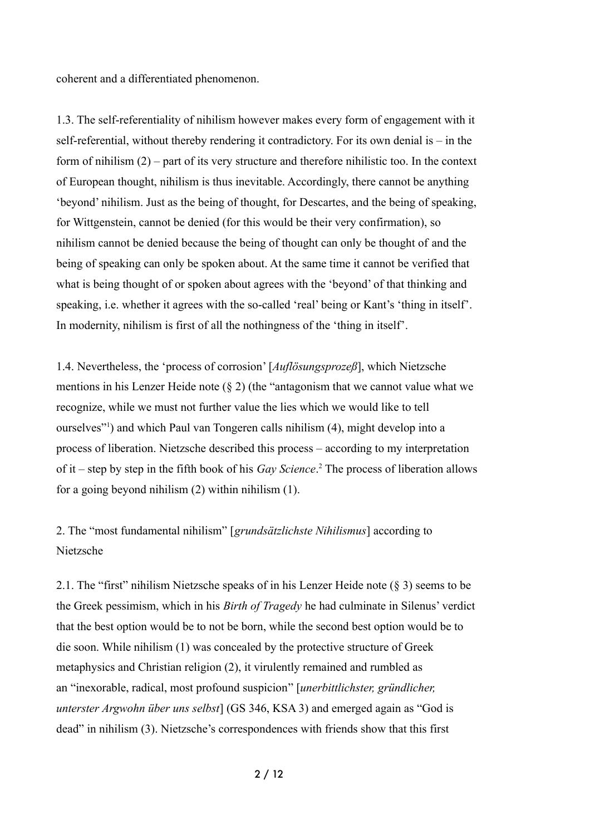coherent and a differentiated phenomenon.

1.3. The self-referentiality of nihilism however makes every form of engagement with it self-referential, without thereby rendering it contradictory. For its own denial is – in the form of nihilism (2) – part of its very structure and therefore nihilistic too. In the context of European thought, nihilism is thus inevitable. Accordingly, there cannot be anything 'beyond' nihilism. Just as the being of thought, for Descartes, and the being of speaking, for Wittgenstein, cannot be denied (for this would be their very confirmation), so nihilism cannot be denied because the being of thought can only be thought of and the being of speaking can only be spoken about. At the same time it cannot be verified that what is being thought of or spoken about agrees with the 'beyond' of that thinking and speaking, i.e. whether it agrees with the so-called 'real' being or Kant's 'thing in itself'. In modernity, nihilism is first of all the nothingness of the 'thing in itself'.

1.4. Nevertheless, the 'process of corrosion' [*Auflösungsprozeß*], which Nietzsche mentions in his Lenzer Heide note (§ 2) (the "antagonism that we cannot value what we recognize, while we must not further value the lies which we would like to tell ourselves"[1](#page-9-0) ) and which Paul van Tongeren calls nihilism (4), might develop into a process of liberation. Nietzsche described this process – according to my interpretation of it – step by step in the fifth book of his *Gay Science*. [2](#page-9-1) The process of liberation allows for a going beyond nihilism (2) within nihilism (1).

2. The "most fundamental nihilism" [*grundsätzlichste Nihilismus*] according to Nietzsche

2.1. The "first" nihilism Nietzsche speaks of in his Lenzer Heide note (§ 3) seems to be the Greek pessimism, which in his *Birth of Tragedy* he had culminate in Silenus' verdict that the best option would be to not be born, while the second best option would be to die soon. While nihilism (1) was concealed by the protective structure of Greek metaphysics and Christian religion (2), it virulently remained and rumbled as an "inexorable, radical, most profound suspicion" [*unerbittlichster, gründlicher, unterster Argwohn über uns selbst*] (GS 346, KSA 3) and emerged again as "God is dead" in nihilism (3). Nietzsche's correspondences with friends show that this first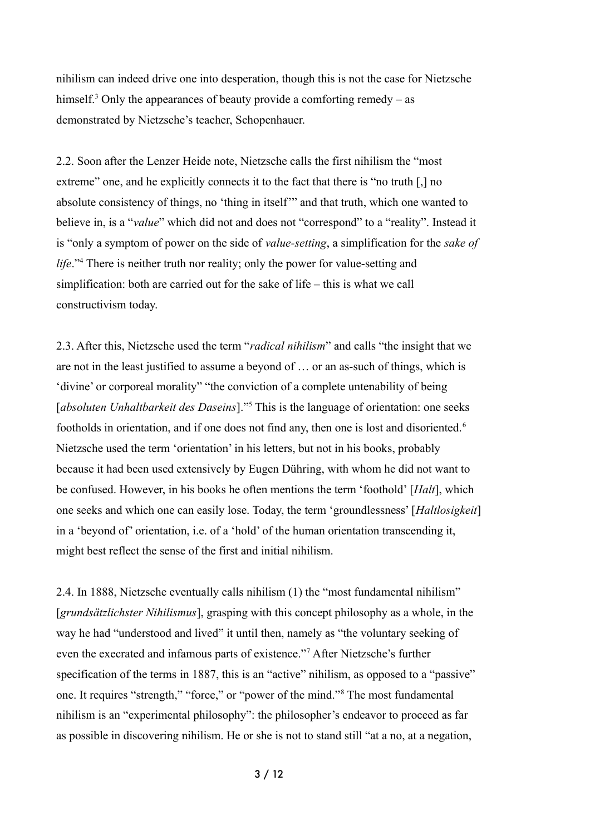nihilism can indeed drive one into desperation, though this is not the case for Nietzsche himself.<sup>[3](#page-9-2)</sup> Only the appearances of beauty provide a comforting remedy – as demonstrated by Nietzsche's teacher, Schopenhauer.

2.2. Soon after the Lenzer Heide note, Nietzsche calls the first nihilism the "most extreme" one, and he explicitly connects it to the fact that there is "no truth [,] no absolute consistency of things, no 'thing in itself'" and that truth, which one wanted to believe in, is a "*value*" which did not and does not "correspond" to a "reality". Instead it is "only a symptom of power on the side of *value-setting*, a simplification for the *sake of life*."<sup>[4](#page-9-3)</sup> There is neither truth nor reality; only the power for value-setting and simplification: both are carried out for the sake of life – this is what we call constructivism today.

2.3. After this, Nietzsche used the term "*radical nihilism*" and calls "the insight that we are not in the least justified to assume a beyond of … or an as-such of things, which is 'divine' or corporeal morality" "the conviction of a complete untenability of being [absoluten Unhaltbarkeit des Daseins]."<sup>[5](#page-9-4)</sup> This is the language of orientation: one seeks footholds in orientation, and if one does not find any, then one is lost and disoriented.<sup>[6](#page-9-5)</sup> Nietzsche used the term 'orientation' in his letters, but not in his books, probably because it had been used extensively by Eugen Dühring, with whom he did not want to be confused. However, in his books he often mentions the term 'foothold' [*Halt*], which one seeks and which one can easily lose. Today, the term 'groundlessness' [*Haltlosigkeit*] in a 'beyond of' orientation, i.e. of a 'hold' of the human orientation transcending it, might best reflect the sense of the first and initial nihilism.

2.4. In 1888, Nietzsche eventually calls nihilism (1) the "most fundamental nihilism" [*grundsätzlichster Nihilismus*], grasping with this concept philosophy as a whole, in the way he had "understood and lived" it until then, namely as "the voluntary seeking of even the execrated and infamous parts of existence."[7](#page-9-6) After Nietzsche's further specification of the terms in 1887, this is an "active" nihilism, as opposed to a "passive" one. It requires "strength," "force," or "power of the mind."[8](#page-9-7) The most fundamental nihilism is an "experimental philosophy": the philosopher's endeavor to proceed as far as possible in discovering nihilism. He or she is not to stand still "at a no, at a negation,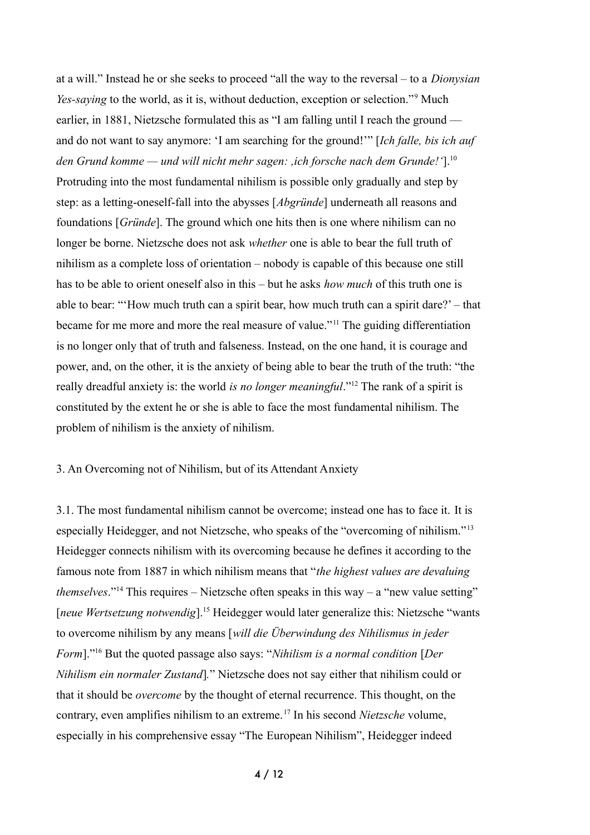at a will." Instead he or she seeks to proceed "all the way to the reversal – to a *Dionysian Yes-saying* to the world, as it is, without deduction, exception or selection."<sup>[9](#page-9-8)</sup> Much earlier, in 1881, Nietzsche formulated this as "I am falling until I reach the ground –– and do not want to say anymore: 'I am searching for the ground!'" [*Ich falle, bis ich auf den Grund komme — und will nicht mehr sagen: ,ich forsche nach dem Grunde!'*].[10](#page-9-9) Protruding into the most fundamental nihilism is possible only gradually and step by step: as a letting-oneself-fall into the abysses [*Abgründe*] underneath all reasons and foundations [*Gründe*]. The ground which one hits then is one where nihilism can no longer be borne. Nietzsche does not ask *whether* one is able to bear the full truth of nihilism as a complete loss of orientation – nobody is capable of this because one still has to be able to orient oneself also in this – but he asks *how much* of this truth one is able to bear: "'How much truth can a spirit bear, how much truth can a spirit dare?' – that became for me more and more the real measure of value."[11](#page-9-10) The guiding differentiation is no longer only that of truth and falseness. Instead, on the one hand, it is courage and power, and, on the other, it is the anxiety of being able to bear the truth of the truth: "the really dreadful anxiety is: the world *is no longer meaningful*."[12](#page-9-11) The rank of a spirit is constituted by the extent he or she is able to face the most fundamental nihilism. The problem of nihilism is the anxiety of nihilism.

# 3. An Overcoming not of Nihilism, but of its Attendant Anxiety

3.1. The most fundamental nihilism cannot be overcome; instead one has to face it. It is especially Heidegger, and not Nietzsche, who speaks of the "overcoming of nihilism."[13](#page-9-12) Heidegger connects nihilism with its overcoming because he defines it according to the famous note from 1887 in which nihilism means that "*the highest values are devaluing themselves*."<sup>[14](#page-9-13)</sup> This requires – Nietzsche often speaks in this way – a "new value setting" [*neue Wertsetzung notwendig*]. [15](#page-9-14) Heidegger would later generalize this: Nietzsche "wants to overcome nihilism by any means [*will die Überwindung des Nihilismus in jeder Form*]."[16](#page-9-15) But the quoted passage also says: "*Nihilism is a normal condition* [*Der Nihilism ein normaler Zustand*]*.*" Nietzsche does not say either that nihilism could or that it should be *overcome* by the thought of eternal recurrence. This thought, on the contrary, even amplifies nihilism to an extreme.[17](#page-10-0) In his second *Nietzsche* volume, especially in his comprehensive essay "The European Nihilism", Heidegger indeed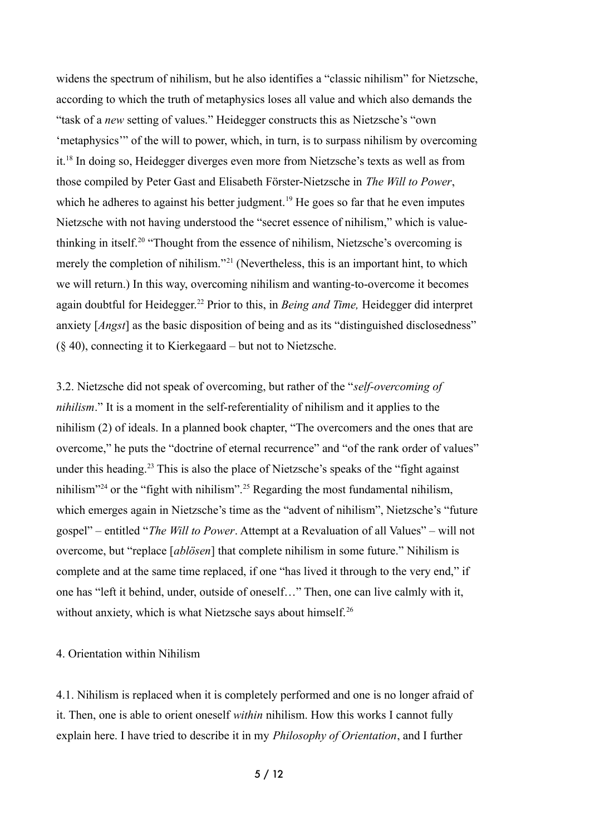widens the spectrum of nihilism, but he also identifies a "classic nihilism" for Nietzsche, according to which the truth of metaphysics loses all value and which also demands the "task of a *new* setting of values." Heidegger constructs this as Nietzsche's "own 'metaphysics'" of the will to power, which, in turn, is to surpass nihilism by overcoming it.[18](#page-10-1) In doing so, Heidegger diverges even more from Nietzsche's texts as well as from those compiled by Peter Gast and Elisabeth Förster-Nietzsche in *The Will to Power*, which he adheres to against his better judgment.<sup>[19](#page-10-2)</sup> He goes so far that he even imputes Nietzsche with not having understood the "secret essence of nihilism," which is value-thinking in itself.<sup>[20](#page-10-3)</sup> "Thought from the essence of nihilism, Nietzsche's overcoming is merely the completion of nihilism."<sup>[21](#page-10-4)</sup> (Nevertheless, this is an important hint, to which we will return.) In this way, overcoming nihilism and wanting-to-overcome it becomes again doubtful for Heidegger.[22](#page-10-5) Prior to this, in *Being and Time,* Heidegger did interpret anxiety [*Angst*] as the basic disposition of being and as its "distinguished disclosedness" (§ 40), connecting it to Kierkegaard – but not to Nietzsche.

3.2. Nietzsche did not speak of overcoming, but rather of the "*self-overcoming of nihilism*." It is a moment in the self-referentiality of nihilism and it applies to the nihilism (2) of ideals. In a planned book chapter, "The overcomers and the ones that are overcome," he puts the "doctrine of eternal recurrence" and "of the rank order of values" under this heading.<sup>[23](#page-10-6)</sup> This is also the place of Nietzsche's speaks of the "fight against" nihilism"[24](#page-10-7) or the "fight with nihilism".[25](#page-10-8) Regarding the most fundamental nihilism, which emerges again in Nietzsche's time as the "advent of nihilism", Nietzsche's "future gospel" – entitled "*The Will to Power*. Attempt at a Revaluation of all Values" – will not overcome, but "replace [*ablösen*] that complete nihilism in some future." Nihilism is complete and at the same time replaced, if one "has lived it through to the very end," if one has "left it behind, under, outside of oneself…" Then, one can live calmly with it, without anxiety, which is what Nietzsche says about himself.<sup>[26](#page-10-9)</sup>

## 4. Orientation within Nihilism

4.1. Nihilism is replaced when it is completely performed and one is no longer afraid of it. Then, one is able to orient oneself *within* nihilism. How this works I cannot fully explain here. I have tried to describe it in my *Philosophy of Orientation*, and I further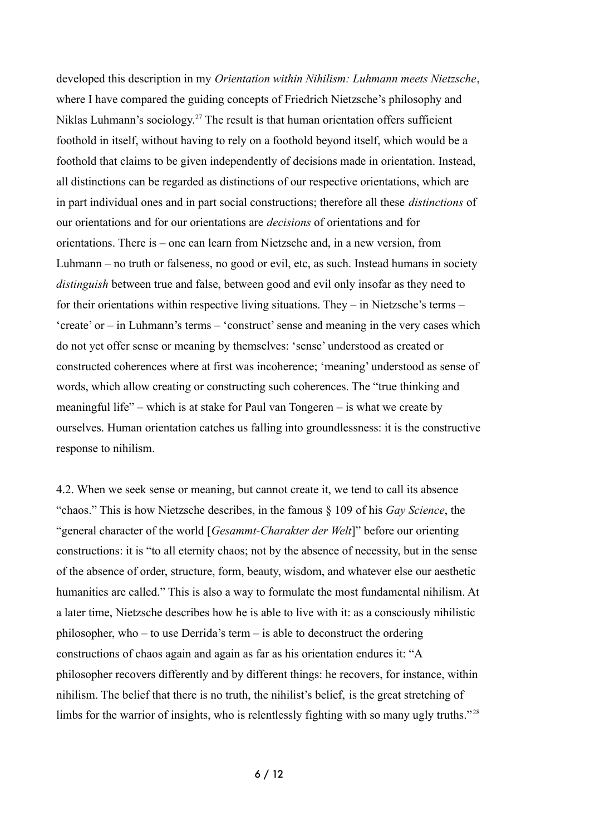developed this description in my *Orientation within Nihilism: Luhmann meets Nietzsche*, where I have compared the guiding concepts of Friedrich Nietzsche's philosophy and Niklas Luhmann's sociology.<sup>[27](#page-10-10)</sup> The result is that human orientation offers sufficient foothold in itself, without having to rely on a foothold beyond itself, which would be a foothold that claims to be given independently of decisions made in orientation. Instead, all distinctions can be regarded as distinctions of our respective orientations, which are in part individual ones and in part social constructions; therefore all these *distinctions* of our orientations and for our orientations are *decisions* of orientations and for orientations. There is – one can learn from Nietzsche and, in a new version, from Luhmann – no truth or falseness, no good or evil, etc, as such. Instead humans in society *distinguish* between true and false, between good and evil only insofar as they need to for their orientations within respective living situations. They – in Nietzsche's terms – 'create' or – in Luhmann's terms – 'construct' sense and meaning in the very cases which do not yet offer sense or meaning by themselves: 'sense' understood as created or constructed coherences where at first was incoherence; 'meaning' understood as sense of words, which allow creating or constructing such coherences. The "true thinking and meaningful life" – which is at stake for Paul van Tongeren – is what we create by ourselves. Human orientation catches us falling into groundlessness: it is the constructive response to nihilism.

4.2. When we seek sense or meaning, but cannot create it, we tend to call its absence "chaos." This is how Nietzsche describes, in the famous § 109 of his *Gay Science*, the "general character of the world [*Gesammt-Charakter der Welt*]" before our orienting constructions: it is "to all eternity chaos; not by the absence of necessity, but in the sense of the absence of order, structure, form, beauty, wisdom, and whatever else our aesthetic humanities are called." This is also a way to formulate the most fundamental nihilism. At a later time, Nietzsche describes how he is able to live with it: as a consciously nihilistic philosopher, who – to use Derrida's term – is able to deconstruct the ordering constructions of chaos again and again as far as his orientation endures it: "A philosopher recovers differently and by different things: he recovers, for instance, within nihilism. The belief that there is no truth, the nihilist's belief, is the great stretching of limbs for the warrior of insights, who is relentlessly fighting with so many ugly truths."<sup>[28](#page-10-11)</sup>

6 / 12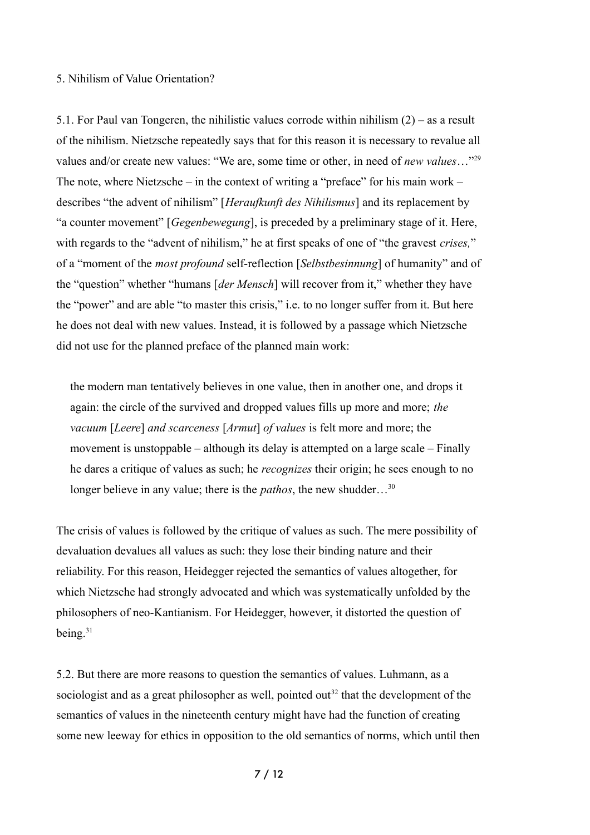# 5. Nihilism of Value Orientation?

5.1. For Paul van Tongeren, the nihilistic values corrode within nihilism (2) – as a result of the nihilism. Nietzsche repeatedly says that for this reason it is necessary to revalue all values and/or create new values: "We are, some time or other, in need of *new values*…"[29](#page-10-12) The note, where Nietzsche – in the context of writing a "preface" for his main work – describes "the advent of nihilism" [*Heraufkunft des Nihilismus*] and its replacement by "a counter movement" [*Gegenbewegung*], is preceded by a preliminary stage of it. Here, with regards to the "advent of nihilism," he at first speaks of one of "the gravest *crises,*" of a "moment of the *most profound* self-reflection [*Selbstbesinnung*] of humanity" and of the "question" whether "humans [*der Mensch*] will recover from it," whether they have the "power" and are able "to master this crisis," i.e. to no longer suffer from it. But here he does not deal with new values. Instead, it is followed by a passage which Nietzsche did not use for the planned preface of the planned main work:

the modern man tentatively believes in one value, then in another one, and drops it again: the circle of the survived and dropped values fills up more and more; *the vacuum* [*Leere*] *and scarceness* [*Armut*] *of values* is felt more and more; the movement is unstoppable – although its delay is attempted on a large scale – Finally he dares a critique of values as such; he *recognizes* their origin; he sees enough to no longer believe in any value; there is the *pathos*, the new shudder...<sup>[30](#page-11-0)</sup>

The crisis of values is followed by the critique of values as such. The mere possibility of devaluation devalues all values as such: they lose their binding nature and their reliability. For this reason, Heidegger rejected the semantics of values altogether, for which Nietzsche had strongly advocated and which was systematically unfolded by the philosophers of neo-Kantianism. For Heidegger, however, it distorted the question of being.<sup>[31](#page-11-1)</sup>

5.2. But there are more reasons to question the semantics of values. Luhmann, as a sociologist and as a great philosopher as well, pointed out<sup>[32](#page-11-2)</sup> that the development of the semantics of values in the nineteenth century might have had the function of creating some new leeway for ethics in opposition to the old semantics of norms, which until then

7 / 12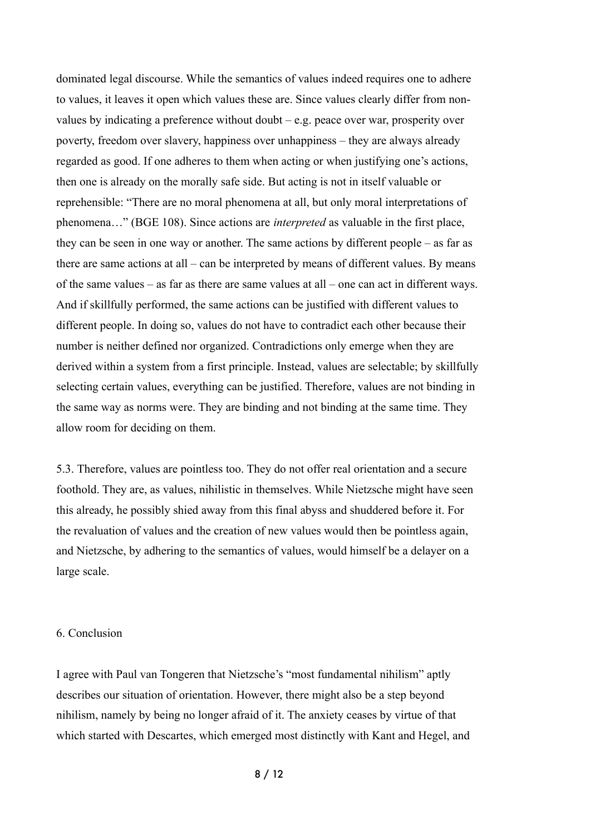dominated legal discourse. While the semantics of values indeed requires one to adhere to values, it leaves it open which values these are. Since values clearly differ from nonvalues by indicating a preference without doubt – e.g. peace over war, prosperity over poverty, freedom over slavery, happiness over unhappiness – they are always already regarded as good. If one adheres to them when acting or when justifying one's actions, then one is already on the morally safe side. But acting is not in itself valuable or reprehensible: "There are no moral phenomena at all, but only moral interpretations of phenomena…" (BGE 108). Since actions are *interpreted* as valuable in the first place, they can be seen in one way or another. The same actions by different people – as far as there are same actions at all – can be interpreted by means of different values. By means of the same values – as far as there are same values at all – one can act in different ways. And if skillfully performed, the same actions can be justified with different values to different people. In doing so, values do not have to contradict each other because their number is neither defined nor organized. Contradictions only emerge when they are derived within a system from a first principle. Instead, values are selectable; by skillfully selecting certain values, everything can be justified. Therefore, values are not binding in the same way as norms were. They are binding and not binding at the same time. They allow room for deciding on them.

5.3. Therefore, values are pointless too. They do not offer real orientation and a secure foothold. They are, as values, nihilistic in themselves. While Nietzsche might have seen this already, he possibly shied away from this final abyss and shuddered before it. For the revaluation of values and the creation of new values would then be pointless again, and Nietzsche, by adhering to the semantics of values, would himself be a delayer on a large scale.

#### 6. Conclusion

I agree with Paul van Tongeren that Nietzsche's "most fundamental nihilism" aptly describes our situation of orientation. However, there might also be a step beyond nihilism, namely by being no longer afraid of it. The anxiety ceases by virtue of that which started with Descartes, which emerged most distinctly with Kant and Hegel, and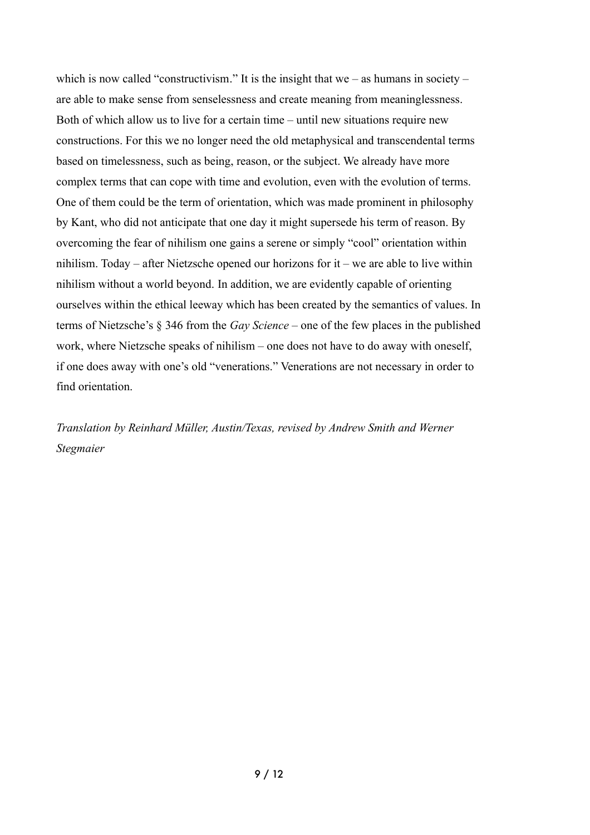which is now called "constructivism." It is the insight that we – as humans in society – are able to make sense from senselessness and create meaning from meaninglessness. Both of which allow us to live for a certain time – until new situations require new constructions. For this we no longer need the old metaphysical and transcendental terms based on timelessness, such as being, reason, or the subject. We already have more complex terms that can cope with time and evolution, even with the evolution of terms. One of them could be the term of orientation, which was made prominent in philosophy by Kant, who did not anticipate that one day it might supersede his term of reason. By overcoming the fear of nihilism one gains a serene or simply "cool" orientation within nihilism. Today – after Nietzsche opened our horizons for it – we are able to live within nihilism without a world beyond. In addition, we are evidently capable of orienting ourselves within the ethical leeway which has been created by the semantics of values. In terms of Nietzsche's § 346 from the *Gay Science* – one of the few places in the published work, where Nietzsche speaks of nihilism – one does not have to do away with oneself, if one does away with one's old "venerations." Venerations are not necessary in order to find orientation.

*Translation by Reinhard Müller, Austin/Texas, revised by Andrew Smith and Werner Stegmaier*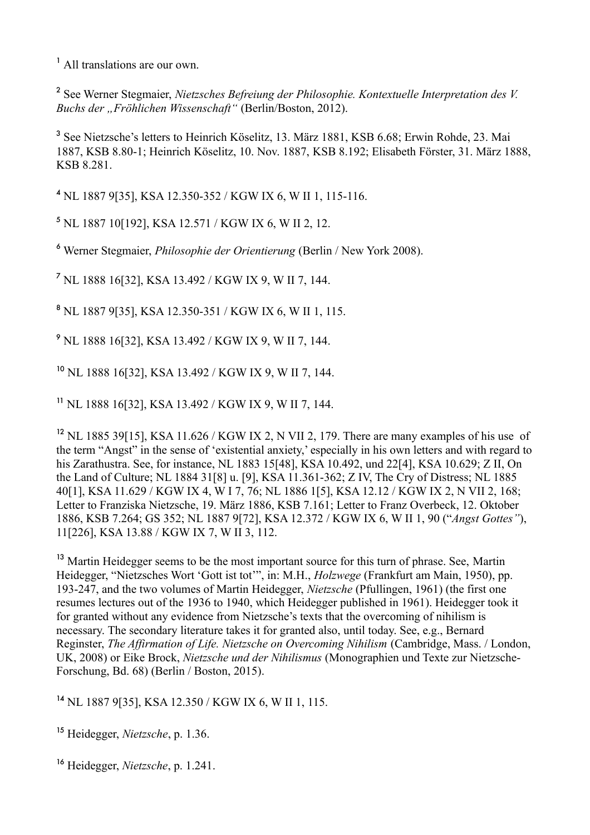<span id="page-9-0"></span><sup>1</sup> All translations are our own.

<span id="page-9-1"></span>2 See Werner Stegmaier, *Nietzsches Befreiung der Philosophie. Kontextuelle Interpretation des V. Buchs der "Fröhlichen Wissenschaft"* (Berlin/Boston, 2012).

<span id="page-9-2"></span><sup>3</sup> See Nietzsche's letters to Heinrich Köselitz, 13. März 1881, KSB 6.68; Erwin Rohde, 23. Mai 1887, KSB 8.80-1; Heinrich Köselitz, 10. Nov. 1887, KSB 8.192; Elisabeth Förster, 31. März 1888, KSB 8.281.

<span id="page-9-3"></span><sup>4</sup> NL 1887 9[35], KSA 12.350-352 / KGW IX 6, W II 1, 115-116.

<span id="page-9-4"></span><sup>5</sup> NL 1887 10[192], KSA 12.571 / KGW IX 6, W II 2, 12.

<span id="page-9-5"></span>6 Werner Stegmaier, *Philosophie der Orientierung* (Berlin / New York 2008).

<span id="page-9-6"></span>7 NL 1888 16[32], KSA 13.492 / KGW IX 9, W II 7, 144.

<span id="page-9-7"></span>8 NL 1887 9[35], KSA 12.350-351 / KGW IX 6, W II 1, 115.

<span id="page-9-8"></span><sup>9</sup> NL 1888 16[32], KSA 13.492 / KGW IX 9, W II 7, 144.

<span id="page-9-9"></span><sup>10</sup> NL 1888 16[32], KSA 13.492 / KGW IX 9, W II 7, 144.

<span id="page-9-10"></span><sup>11</sup> NL 1888 16[32], KSA 13.492 / KGW IX 9, W II 7, 144.

<span id="page-9-11"></span><sup>12</sup> NL 1885 39[15], KSA 11.626 / KGW IX 2, N VII 2, 179. There are many examples of his use of the term "Angst" in the sense of 'existential anxiety,' especially in his own letters and with regard to his Zarathustra. See, for instance, NL 1883 15[48], KSA 10.492, und 22[4], KSA 10.629; Z II, On the Land of Culture; NL 1884 31[8] u. [9], KSA 11.361-362; Z IV, The Cry of Distress; NL 1885 40[1], KSA 11.629 / KGW IX 4, W I 7, 76; NL 1886 1[5], KSA 12.12 / KGW IX 2, N VII 2, 168; Letter to Franziska Nietzsche, 19. März 1886, KSB 7.161; Letter to Franz Overbeck, 12. Oktober 1886, KSB 7.264; GS 352; NL 1887 9[72], KSA 12.372 / KGW IX 6, W II 1, 90 ("*Angst Gottes"*), 11[226], KSA 13.88 / KGW IX 7, W II 3, 112.

<span id="page-9-12"></span><sup>13</sup> Martin Heidegger seems to be the most important source for this turn of phrase. See, Martin Heidegger, "Nietzsches Wort 'Gott ist tot'", in: M.H., *Holzwege* (Frankfurt am Main, 1950), pp. 193-247, and the two volumes of Martin Heidegger, *Nietzsche* (Pfullingen, 1961) (the first one resumes lectures out of the 1936 to 1940, which Heidegger published in 1961). Heidegger took it for granted without any evidence from Nietzsche's texts that the overcoming of nihilism is necessary. The secondary literature takes it for granted also, until today. See, e.g., Bernard Reginster, *The Affirmation of Life. Nietzsche on Overcoming Nihilism* (Cambridge, Mass. / London, UK, 2008) or Eike Brock, *Nietzsche und der Nihilismus* (Monographien und Texte zur Nietzsche-Forschung, Bd. 68) (Berlin / Boston, 2015).

<span id="page-9-13"></span><sup>14</sup> NL 1887 9[35], KSA 12.350 / KGW IX 6, W II 1, 115.

<span id="page-9-14"></span><sup>15</sup> Heidegger, *Nietzsche*, p. 1.36.

<span id="page-9-15"></span><sup>16</sup> Heidegger, *Nietzsche*, p. 1.241.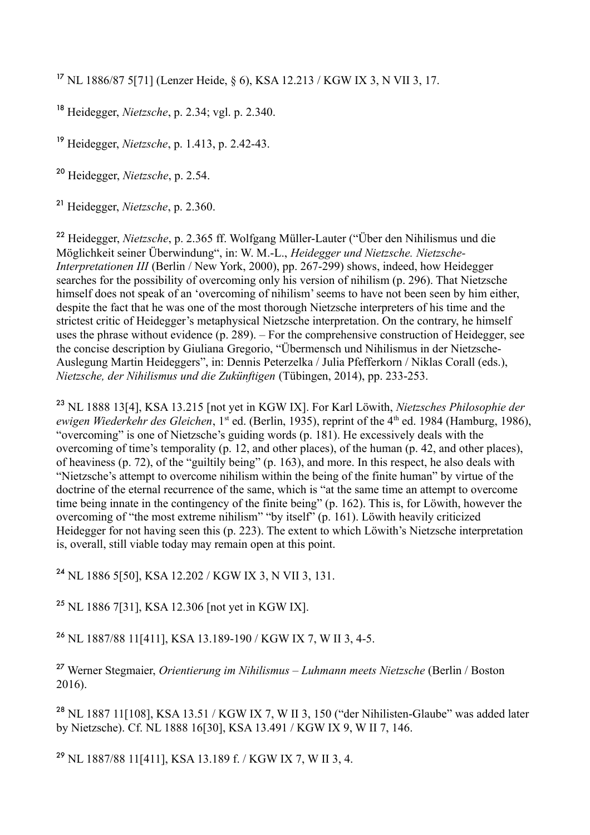<span id="page-10-0"></span><sup>17</sup> NL 1886/87 5[71] (Lenzer Heide, § 6), KSA 12.213 / KGW IX 3, N VII 3, 17.

<span id="page-10-1"></span><sup>18</sup> Heidegger, *Nietzsche*, p. 2.34; vgl. p. 2.340.

<span id="page-10-2"></span><sup>19</sup> Heidegger, *Nietzsche*, p. 1.413, p. 2.42-43.

<span id="page-10-3"></span><sup>20</sup> Heidegger, *Nietzsche*, p. 2.54.

<span id="page-10-4"></span><sup>21</sup> Heidegger, *Nietzsche*, p. 2.360.

<span id="page-10-5"></span><sup>22</sup> Heidegger, *Nietzsche*, p. 2.365 ff. Wolfgang Müller-Lauter ("Über den Nihilismus und die Möglichkeit seiner Überwindung", in: W. M.-L., *Heidegger und Nietzsche. Nietzsche-Interpretationen III* (Berlin / New York, 2000), pp. 267-299) shows, indeed, how Heidegger searches for the possibility of overcoming only his version of nihilism (p. 296). That Nietzsche himself does not speak of an 'overcoming of nihilism' seems to have not been seen by him either, despite the fact that he was one of the most thorough Nietzsche interpreters of his time and the strictest critic of Heidegger's metaphysical Nietzsche interpretation. On the contrary, he himself uses the phrase without evidence (p. 289). – For the comprehensive construction of Heidegger, see the concise description by Giuliana Gregorio, "Übermensch und Nihilismus in der Nietzsche-Auslegung Martin Heideggers", in: Dennis Peterzelka / Julia Pfefferkorn / Niklas Corall (eds.), *Nietzsche, der Nihilismus und die Zukünftigen* (Tübingen, 2014), pp. 233-253.

<span id="page-10-6"></span><sup>23</sup> NL 1888 13[4], KSA 13.215 [not yet in KGW IX]. For Karl Löwith, *Nietzsches Philosophie der ewigen Wiederkehr des Gleichen*, 1<sup>st</sup> ed. (Berlin, 1935), reprint of the 4<sup>th</sup> ed. 1984 (Hamburg, 1986), "overcoming" is one of Nietzsche's guiding words (p. 181). He excessively deals with the overcoming of time's temporality (p. 12, and other places), of the human (p. 42, and other places), of heaviness (p. 72), of the "guiltily being" (p. 163), and more. In this respect, he also deals with "Nietzsche's attempt to overcome nihilism within the being of the finite human" by virtue of the doctrine of the eternal recurrence of the same, which is "at the same time an attempt to overcome time being innate in the contingency of the finite being" (p. 162). This is, for Löwith, however the overcoming of "the most extreme nihilism" "by itself" (p. 161). Löwith heavily criticized Heidegger for not having seen this (p. 223). The extent to which Löwith's Nietzsche interpretation is, overall, still viable today may remain open at this point.

<span id="page-10-7"></span><sup>24</sup> NL 1886 5[50], KSA 12.202 / KGW IX 3, N VII 3, 131.

<span id="page-10-8"></span><sup>25</sup> NL 1886 7[31], KSA 12.306 [not yet in KGW IX].

<span id="page-10-9"></span><sup>26</sup> NL 1887/88 11[411], KSA 13.189-190 / KGW IX 7, W II 3, 4-5.

<span id="page-10-10"></span><sup>27</sup> Werner Stegmaier, *Orientierung im Nihilismus – Luhmann meets Nietzsche* (Berlin / Boston 2016).

<span id="page-10-11"></span><sup>28</sup> NL 1887 11[108], KSA 13.51 / KGW IX 7, W II 3, 150 ("der Nihilisten-Glaube" was added later by Nietzsche). Cf. NL 1888 16[30], KSA 13.491 / KGW IX 9, W II 7, 146.

<span id="page-10-12"></span><sup>29</sup> NL 1887/88 11[411], KSA 13.189 f. / KGW IX 7, W II 3, 4.